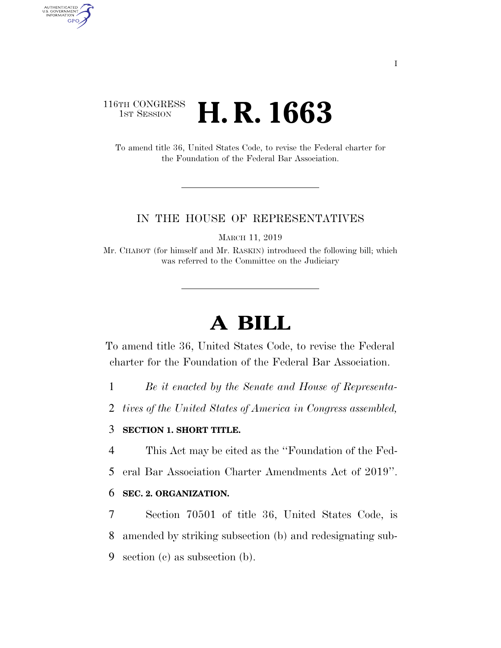# 116TH CONGRESS **1st Session H. R. 1663**

AUTHENTICATED<br>U.S. GOVERNMENT<br>INFORMATION GPO

> To amend title 36, United States Code, to revise the Federal charter for the Foundation of the Federal Bar Association.

#### IN THE HOUSE OF REPRESENTATIVES

MARCH 11, 2019

Mr. CHABOT (for himself and Mr. RASKIN) introduced the following bill; which was referred to the Committee on the Judiciary

# **A BILL**

To amend title 36, United States Code, to revise the Federal charter for the Foundation of the Federal Bar Association.

1 *Be it enacted by the Senate and House of Representa-*

2 *tives of the United States of America in Congress assembled,* 

## 3 **SECTION 1. SHORT TITLE.**

4 This Act may be cited as the ''Foundation of the Fed-

5 eral Bar Association Charter Amendments Act of 2019''.

#### 6 **SEC. 2. ORGANIZATION.**

7 Section 70501 of title 36, United States Code, is 8 amended by striking subsection (b) and redesignating sub-9 section (c) as subsection (b).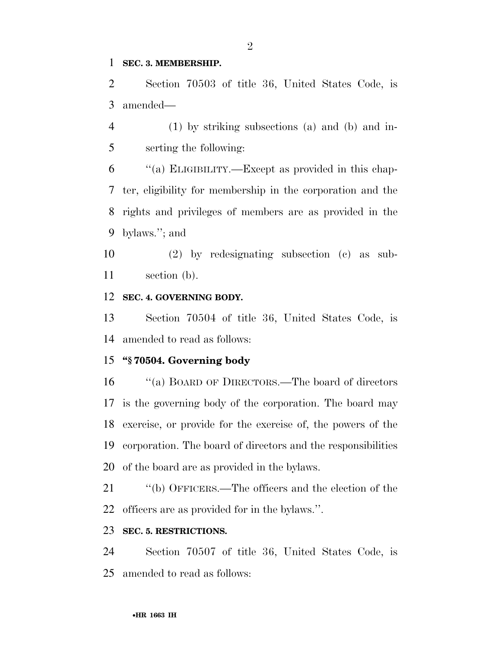#### **SEC. 3. MEMBERSHIP.**

 Section 70503 of title 36, United States Code, is amended—

 (1) by striking subsections (a) and (b) and in-serting the following:

 ''(a) ELIGIBILITY.—Except as provided in this chap- ter, eligibility for membership in the corporation and the rights and privileges of members are as provided in the bylaws.''; and

 (2) by redesignating subsection (c) as sub-section (b).

### **SEC. 4. GOVERNING BODY.**

 Section 70504 of title 36, United States Code, is amended to read as follows:

### **''§ 70504. Governing body**

 ''(a) BOARD OF DIRECTORS.—The board of directors is the governing body of the corporation. The board may exercise, or provide for the exercise of, the powers of the corporation. The board of directors and the responsibilities of the board are as provided in the bylaws.

 ''(b) OFFICERS.—The officers and the election of the officers are as provided for in the bylaws.''.

# **SEC. 5. RESTRICTIONS.**

 Section 70507 of title 36, United States Code, is amended to read as follows: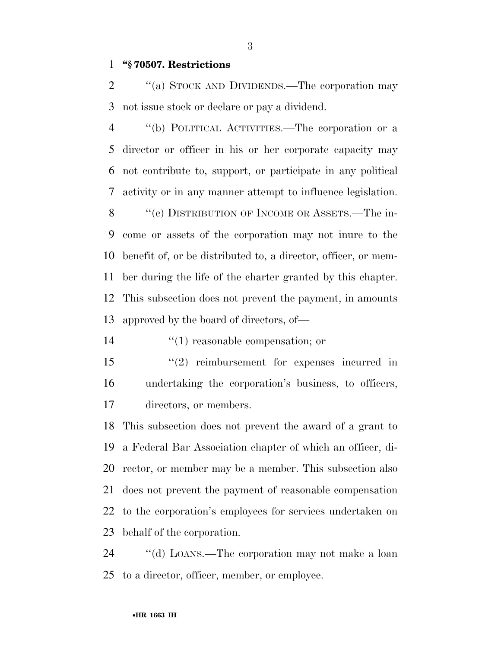# **''§ 70507. Restrictions**

2 "(a) STOCK AND DIVIDENDS.—The corporation may not issue stock or declare or pay a dividend.

 ''(b) POLITICAL ACTIVITIES.—The corporation or a director or officer in his or her corporate capacity may not contribute to, support, or participate in any political activity or in any manner attempt to influence legislation. 8 "(c) DISTRIBUTION OF INCOME OR ASSETS.—The in- come or assets of the corporation may not inure to the benefit of, or be distributed to, a director, officer, or mem- ber during the life of the charter granted by this chapter. This subsection does not prevent the payment, in amounts approved by the board of directors, of—

14  $\frac{1}{2}$  (1) reasonable compensation; or

 ''(2) reimbursement for expenses incurred in undertaking the corporation's business, to officers, directors, or members.

 This subsection does not prevent the award of a grant to a Federal Bar Association chapter of which an officer, di- rector, or member may be a member. This subsection also does not prevent the payment of reasonable compensation to the corporation's employees for services undertaken on behalf of the corporation.

 ''(d) LOANS.—The corporation may not make a loan to a director, officer, member, or employee.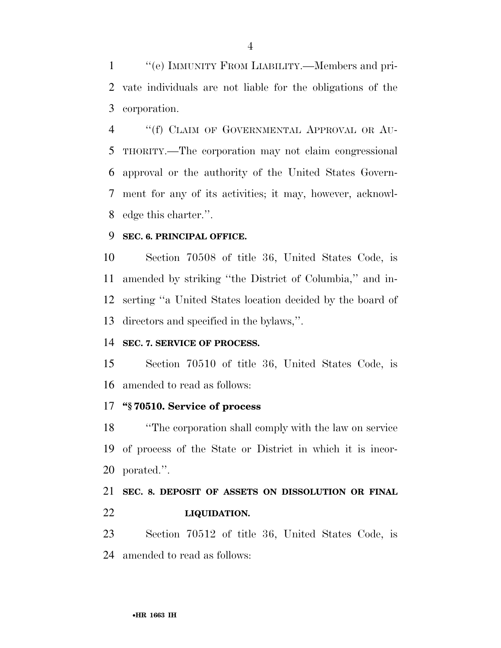''(e) IMMUNITY FROM LIABILITY.—Members and pri- vate individuals are not liable for the obligations of the corporation.

4 "(f) CLAIM OF GOVERNMENTAL APPROVAL OR AU- THORITY.—The corporation may not claim congressional approval or the authority of the United States Govern- ment for any of its activities; it may, however, acknowl-edge this charter.''.

### **SEC. 6. PRINCIPAL OFFICE.**

 Section 70508 of title 36, United States Code, is amended by striking ''the District of Columbia,'' and in- serting ''a United States location decided by the board of directors and specified in the bylaws,''.

# **SEC. 7. SERVICE OF PROCESS.**

 Section 70510 of title 36, United States Code, is amended to read as follows:

### **''§ 70510. Service of process**

 ''The corporation shall comply with the law on service of process of the State or District in which it is incor-porated.''.

# **SEC. 8. DEPOSIT OF ASSETS ON DISSOLUTION OR FINAL LIQUIDATION.**

 Section 70512 of title 36, United States Code, is amended to read as follows: